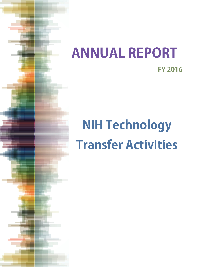# **ANNUAL REPORT**

**FY 2016**

# **NIH Technology Transfer Activities**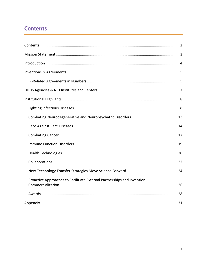# **Contents**

| Proactive Approaches to Facilitiate External Partnerships and Invention |
|-------------------------------------------------------------------------|
|                                                                         |
|                                                                         |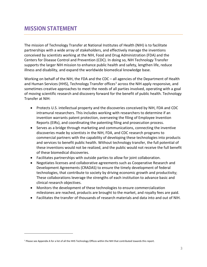The mission of Technology Transfer at National Institutes of Health (NIH) is to facilitate partnerships with a wide array of stakeholders, and effectively manage the inventions conceived by scientists working at the NIH, Food and Drug Administration (FDA) and the Centers for Disease Control and Prevention (CDC). In doing so, NIH Technology Transfer supports the larger NIH mission to enhance public health and safety, lengthen life, reduce illness and disability, and expand the worldwide biomedical knowledge base.

Working on behalf of the NIH, the FDA and the CDC – all agencies of the Department of Health and Human Services (HHS), Technology Transfer offices<sup>[1](#page-2-0)</sup> across the NIH apply responsive, and sometimes creative approaches to meet the needs of all parties involved, operating with a goal of moving scientific research and discovery forward for the benefit of public health. Technology Transfer at NIH:

- Protects U.S. intellectual property and the discoveries conceived by NIH, FDA and CDC intramural researchers. This includes working with researchers to determine if an invention warrants patent protection, overseeing the filing of Employee Invention Reports (EIRs), and coordinating the patenting filing and prosecution process.
- Serves as a bridge through marketing and communications, connecting the inventive discoveries made by scientists in the NIH, FDA, and CDC research programs to commercial partners with the capability of developing these technologies into products and services to benefit public health. Without technology transfer, the full potential of these inventions would not be realized, and the public would not receive the full benefit of these biomedical discoveries.
- Facilitates partnerships with outside parties to allow for joint collaboration.
- Negotiates licenses and collaborative agreements such as Cooperative Research and Development Agreements (CRADAS) to ensure the timely development of federal technologies, that contribute to society by driving economic growth and productivity; These collaborations leverage the strengths of each institution to advance basic and clinical research objectives.
- Monitors the development of these technologies to ensure commercialization milestones are reached, products are brought to the market, and royalty fees are paid.
- Facilitates the transfer of thousands of research materials and data into and out of NIH.

 $\overline{a}$ 

<span id="page-2-0"></span><sup>1</sup> Please see Appendix A for a list of all the HHS Technology Offices within the NIH that contributed towards this report.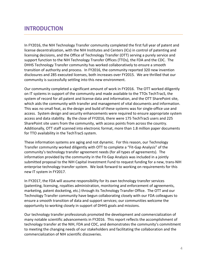# **INTRODUCTION**

In FY2016, the NIH Technology Transfer community completed the first full year of patent and license decentralization, with the NIH Institutes and Centers (ICs) in control of patenting and licensing decisions, and the Office of Technology Transfer (OTT) serving a purely service and support function to the NIH Technology Transfer Offices (TTOs), the FDA and the CDC. The DHHS Technology Transfer community has worked collaboratively to ensure a smooth transition of authority and process. In FY2016, the community reported 320 new invention disclosures and 285 executed licenses, both increases over FY2015. We are thrilled that our community is successfully settling into this new environment.

Our community completed a significant amount of work in FY2016. The OTT worked diligently on IT systems in support of the community and made available to the TTOs TechTracS, the system of record for all patent and license data and information, and the OTT SharePoint site, which aids the community with transfer and management of vital documents and information. This was no small feat, as the design and build of these systems was for single-office use and access. System design and security enhancements were required to ensure appropriate system access and data stability. By the close of FY2016, there were 175 TechTracS users and 225 SharePoint site users from the community, with access points from across the country. Additionally, OTT staff scanned into electronic format, more than 1.8 million paper documents for TTO availability in the TechTracS system.

These information systems are aging and not dynamic. For this reason, our Technology Transfer community worked diligently with OTT to complete a "Fit-Gap Analysis" of the community's technology transfer agreement needs (for all types of agreements). The information provided by the community in the Fit-Gap Analysis was included in a jointly submitted proposal to the NIH Capital Investment Fund to request funding for a new, trans-NIH enterprise technology transfer system. We look forward to working on requirements for this new IT system in FY2017.

In FY2017, the FDA will assume responsibility for its own technology transfer services (patenting, licensing, royalties administration, monitoring and enforcement of agreements, marketing, patent docketing, etc.) through its Technology Transfer Office. The OTT and our Technology Transfer community have begun collaborating closely with our FDA colleagues to ensure a smooth transition of data and support services; our communities welcome the opportunity to working closely in support of DHHS goals and missions.

Our technology transfer professionals promoted the development and commercialization of many notable scientific advancements in FY2016. This report reflects the accomplishment of technology transfer at the NIH, FDA and CDC, and demonstrates the community's commitment to meeting the changing needs of our stakeholders and facilitating the collaboration and the commercialization of NIH scientific discoveries.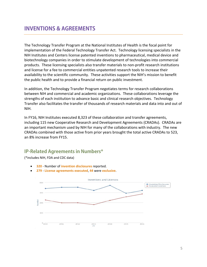The Technology Transfer Program at the National Institutes of Health is the focal point for implementation of the Federal Technology Transfer Act. Technology licensing specialists in the NIH Institutes and Centers license patented inventions to pharmaceutical, medical device and biotechnology companies in order to stimulate development of technologies into commercial products. These licensing specialists also transfer materials to non-profit research institutions and license for a fee to commercial entities unpatented research tools to increase their availability to the scientific community. These activities support the NIH's mission to benefit the public health and to provide a financial return on public investment.

In addition, the Technology Transfer Program negotiates terms for research collaborations between NIH and commercial and academic organizations. These collaborations leverage the strengths of each institution to advance basic and clinical research objectives. Technology Transfer also facilitates the transfer of thousands of research materials and data into and out of NIH.

In FY16, NIH Institutes executed 8,323 of these collaboration and transfer agreements, including 115 new Cooperative Research and Development Agreements (CRADAs). CRADAs are an important mechanism used by NIH for many of the collaborations with industry. The new CRADAs combined with those active from prior years brought the total active CRADAs to 523, an 8% increase from FY15.

# **IP-Related Agreements in Numbers\***

(\*includes NIH, FDA and CDC data)

- **320** Number of **invention disclosures** reported.
- **279 License agreements executed**, **44** were **exclusive**.

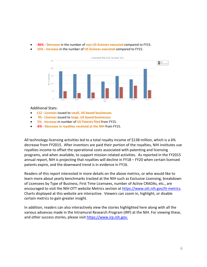- **-36% Decrease** in the number of **non-US licenses executed** compared to FY15.
- **55% Increase** in the number of **US licenses executed** compared to FY15.



#### Additional Stats:

- **112 Licenses** issued to **small, US-based businesses.**
- • **95 Licenses** issued to **large, US based businesses.**
- **5% Increase** in number of **US Patents filed** from FY15.
- **-6% Decrease in royalties received at the NIH** from FY15.

All technology-licensing activities led to a total royalty income of \$138 million, which is a 6% decrease from FY2015. After inventors are paid their portion of the royalties, NIH institutes use royalties income to offset the operational costs associated with patenting and licensing programs, and when available, to support mission-related activities. As reported in the FY2015 annual report, NIH is projecting that royalties will decline in FY18 – FY20 when certain licensed patents expire, and the downward trend is in evidence in FY16.

Readers of this report interested in more details on the above metrics, or who would like to learn more about yearly benchmarks tracked at the NIH such as Exclusive Licensing, breakdown of Licensees by Type of Business, First Time Licensees, number of Active CRADAs, etc., are encouraged to visit the NIH OTT website Metrics section at [https://www.ott.nih.gov/tt-metrics.](https://www.ott.nih.gov/tt-metrics) Charts displayed at this website are interactive. Viewers can zoom in, highlight, or disable certain metrics to gain greater insight.

In addition, readers can also interactively view the stories highlighted here along with all the various advances made in the Intramural Research Program (IRP) at the NIH. For viewing these, and other success stories, please visit [https://www.irp.nih.gov.](https://www.irp.nih.gov/)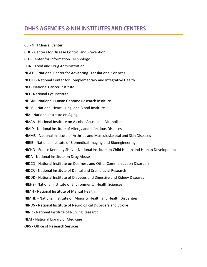# **DHHS AGENCIES & NIH INSTITUTES AND CENTERS**

- CC NIH Clinical Center
- CDC Centers for Disease Control and Prevention
- CIT Center for Information Technology
- FDA Food and Drug Administration
- NCATS National Center for Advancing Translational Sciences
- NCCIH National Center for Complementary and Integrative Health
- NCI National Cancer Institute
- NEI National Eye Institute
- NHGRI National Human Genome Research Institute
- NHLBI National Heart, Lung, and Blood Institute
- NIA National Institute on Aging
- NIAAA National Institute on Alcohol Abuse and Alcoholism
- NIAID National Institute of Allergy and Infectious Diseases
- NIAMS National Institute of Arthritis and Musculoskeletal and Skin Diseases
- NIBIB National Institute of Biomedical Imaging and Bioengineering
- NICHD Eunice Kennedy Shriver National Institute on Child Health and Human Development
- NIDA National Institute on Drug Abuse
- NIDCD National Institute on Deafness and Other Communication Disorders
- NIDCR National Institute of Dental and Craniofacial Research
- NIDDK National Institute of Diabetes and Digestive and Kidney Diseases
- NIEHS National Institute of Environmental Health Sciences
- NIMH National Institute of Mental Health
- NIMHD National Institute on Minority Health and Health Disparities
- NINDS National Institute of Neurological Disorders and Stroke
- NINR National Institute of Nursing Research
- NLM National Library of Medicine
- ORS Office of Research Services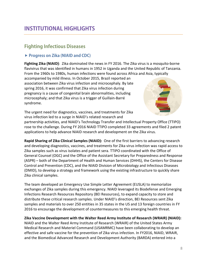# **Fighting Infectious Diseases**

#### **Progress on Zika (NIAID and CDC)**

**Fighting Zika (NIAID)**: Zika dominated the news in FY 2016. The Zika virus is a mosquito-borne flavivirus that was identified in humans in 1952 in Uganda and the United Republic of Tanzania. From the 1960s to 1980s, human infections were found across Africa and Asia, typically

accompanied by mild illness. In October 2015, Brazil reported an association between Zika virus infection and microcephaly. By late spring 2016, it was confirmed that Zika virus infection during pregnancy is a cause of congenital brain abnormalities, including microcephaly; and that Zika virus is a trigger of Guillain-Barré syndrome.



The urgent need for diagnostics, vaccines, and treatments for Zika virus infection led to a surge in NIAID's related research and

partnership activities, and NIAID's Technology Transfer and Intellectual Property Office (TTIPO) rose to the challenge. During FY 2016 NIAID TTIPO completed 33 agreements and filed 2 patent applications to help advance NIAID research and development on the Zika virus.

**Rapid Sharing of Zika Clinical Samples (NIAID):** One of the first barriers to advancing research and developing diagnostics, vaccines, and treatments for Zika virus infection was rapid access to Zika samples such as virus isolates and patient sera. TTIPO coordinated with the Office of General Counsel (OGC) and the Office of the Assistant Secretary for Preparedness and Response (ASPR) – both of the Department of Health and Human Services (DHHS), the Centers for Disease Control and Prevention (CDC), and the NIAID Division of Microbiology and Infectious Diseases (DMID), to develop a strategy and framework using the existing infrastructure to quickly share Zika clinical samples.

The team developed an Emergency Use Simple Letter Agreement (EUSLA) to memorialize exchanges of Zika samples during this emergency. NIAID leveraged its Biodefense and Emerging Infections Research Resources Repository (BEI Resources), to expand capacity to store and distribute these critical research samples. Under NIAID's direction, BEI Resources sent Zika samples and materials to over 250 entities in 35 states in the US and 13 foreign countries in FY 2016 to encourage the development of countermeasures to this emerging health threat.

#### **Zika Vaccine Development with the Walter Reed Army Institute of Research (WRAIR) (NIAID):**

NIAID and the Walter Reed Army Institute of Research (WRAIR) of the United States Army Medical Research and Materiel Command (USAMRMC) have been collaborating to develop an effective and safe vaccine for the prevention of Zika virus infection. In FY2016, NIAID, WRAIR, and the Biomedical Advanced Research and Development Authority (BARDA) entered into a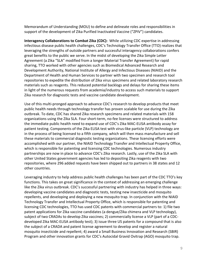Memorandum of Understanding (MOU) to define and delineate roles and responsibilities in support of the development of Zika Purified Inactivated Vaccine ("ZPIV") candidates.

**Interagency Collaborations to Combat Zika (CDC):** While utilizing CDC expertise in addressing infectious disease public health challenges, CDC's Technology Transfer Office (TTO) realizes that leveraging the strengths of outside partners and successful interagency collaborations confers great benefits to the public we serve. In the midst of developing the Zika Simple Letter Agreement (a Zika "SLA" modified from a longer Material Transfer Agreement) for rapid sharing, TTO worked with other agencies such as Biomedical Advanced Research and Development Authority, National Institute of Allergy and Infectious Diseases (NIAID) and the Department of Health and Human Services to partner with two specimen and research tool repositories to expedite the distribution of Zika virus specimens and related laboratory research materials such as reagents. This reduced potential backlogs and delays for sharing these items in light of the numerous requests from academia/industry to access such materials to support Zika research for diagnostic tests and vaccine candidate development.

Use of this multi-pronged approach to advance CDC's research to develop products that meet public health needs through technology transfer has proven scalable for use during the Zika outbreak. To date, CDC has shared Zika research specimens and related materials with 158 organizations using the Zika SLA. Four short-term, no-fee licenses were structured to address the immediate public health need to expand use of CDC's Zika MAC-ELISA antibody assay for patient testing. Components of the Zika ELISA test with virus-like particle (VLP) technology are in the process of being licensed to a fifth company, which will then mass manufacture and sell these materials to commercial diagnostic testing organizations. These licensing efforts were accomplished with our partner, the NIAID Technology Transfer and Intellectual Property Office, which is responsible for patenting and licensing CDC technologies. Numerous industry partnerships are now in place to advance CDC's Zika research. Lastly, use of the Zika SLA with other United States government agencies has led to depositing Zika reagents with two repositories, where 296 added requests have been shipped out to partners in 38 states and 12 other countries.

Leveraging industry to help address public health challenges has been part of the CDC TTO's key functions. This takes on great significance in the context of addressing an emerging challenge like the Zika virus outbreak. CDC's successful partnering with industry has helped in three ways: developing vaccine candidates and diagnostic tests, testing new insecticide and mosquito repellents, and developing and deploying a new mosquito trap. In conjunction with the NIAID Technology Transfer and Intellectual Property Office, which is responsible for patenting and licensing CDC technologies, TTO has used CDC patents with commercial partners to: 1) file two patent applications for Zika vaccine candidates (a dengue/Zika chimera and VLP technology), subject of two CRADAs to develop Zika vaccines; 2) commercially license a VLP (part of a CDCdeveloped Zika MAC-ELISA antibody test); 3) issue three US patents for a compound that is also the subject of a CRADA and patent license agreement to develop and register a natural mosquito insecticide and repellent; 4) award a Small Business Innovation and Research (SBIR) Program and other innovation grants for CDC's Autocidal Gravid Ovitrap (AGO) mosquito trap.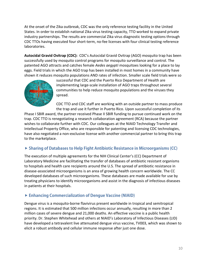At the onset of the Zika outbreak, CDC was the only reference testing facility in the United States. In order to establish national Zika virus testing capacity, TTO worked to expand private industry partnerships. The results are commercial Zika virus diagnostic testing options through CDC TTOs having executed four short-term, no-fee licenses with four clinical testing reference laboratories.

**Autocidal Gravid Ovitrap (CDC):** CDC's Autocidal Gravid Ovitrap (AGO) mosquito trap has been successfully used by mosquito control programs for mosquito surveillance and control. The patented AGO attracts and catches female *Aedes aegypti* mosquitoes looking for a place to lay eggs. Field trials in which the AGO trap has been installed in most homes in a community have shown it reduces mosquito populations AND rates of infection. Smaller scale field trials were so



successful that CDC and the Puerto Rico Department of Health are implementing large-scale installation of AGO traps throughout several communities to help reduce mosquito populations and the viruses they spread.

CDC TTO and CDC staff are working with an outside partner to mass produce the trap and use it further in Puerto Rico. Upon successful completion of its

Phase I SBIR award, the partner received Phase II SBIR funding to pursue continued work on the trap. CDC TTO is renegotiating a research collaboration agreement (RCA) because the partner wishes to collaborate further with CDC. Our colleagues at the NIAID Technology Transfer and Intellectual Property Office, who are responsible for patenting and licensing CDC technologies, have also negotiated a non-exclusive license with another commercial partner to bring this trap to the marketplace.

#### **Sharing of Databases to Help Fight Antibiotic Resistance in Microorganisms (CC)**

The execution of multiple agreements for the NIH Clinical Center's (CC) Department of Laboratory Medicine are facilitating the transfer of databases of antibiotic resistant organisms to hospitals and health care recipients around the U.S. The spread of antibiotic resistance in disease-associated microorganisms is an area of growing health concern worldwide. The CC developed databases of such microorganisms. These databases are made available for use by treating physicians to identify microorganisms and assist in the diagnosis of infectious diseases in patients at their hospitals.

#### **Enhancing Commercialization of Dengue Vaccine (NIAID)**

Dengue virus is a mosquito-borne flavivirus present worldwide in tropical and semitropical regions. It is estimated that 500 million infections occur annually, resulting in more than 2 million cases of severe dengue and 21,000 deaths. An effective vaccine is a public health priority. Dr. Stephen Whitehead and others at NIAID's Laboratory of Infectious Diseases (LID) have developed a tetravalent live attenuated dengue virus vaccine, TV003, which was shown to elicit a robust antibody and cellular immune response after just one dose.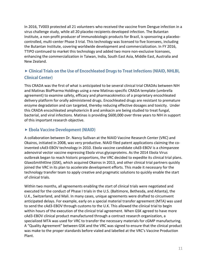In 2016, TV003 protected all 21 volunteers who received the vaccine from Dengue infection in a virus challenge study, while all 20 placebo recipients developed infection. The Butantan Institute, a non-profit producer of immunobiologic products for Brazil, is sponsoring a placebocontrolled, multi-center Phase 3 trial. This technology was licensed to five licensees, including the Butantan Institute, covering worldwide development and commercialization. In FY 2016, TTIPO continued to market this technology and added two more non-exclusive licensees, enhancing the commercialization in Taiwan, India, South East Asia, Middle East, Australia and New Zealand.

# **Clinical Trials on the Use of Encochleated Drugs to Treat Infections (NIAID, NHLBI, Clinical Center)**

This CRADA was the first of what is anticipated to be several clinical trial CRADAs between NIH and Matinas BioPharma Holdings using a new Matinas-specific CRADA template (umbrella agreement) to examine safety, efficacy and pharmacokinetics of a proprietary encochleated delivery platform for orally administered drugs. Encochleated drugs are resistant to premature enzyme degradation and can targeted, thereby reducing effective dosages and toxicity. Under this CRADA encochleated amphotericin B and amikacin are being studied to treat fungal, bacterial, and viral infections. Matinas is providing \$600,000 over three years to NIH in support of this important research objective.

#### **Ebola Vaccine Development (NIAID)**

A collaboration between Dr. Nancy Sullivan at the NIAID Vaccine Research Center (VRC) and Okairos, initiated in 2008, was very productive. NIAID filed patent applications claiming the coinvented cAd3-EBOV technology in 2010. Ebola vaccine candidate cAd3-EBOV is a chimpanzee adenoviral vector vaccine expressing Ebola virus glycoproteins. As the 2014 Ebola Virus outbreak began to reach historic proportions, the VRC decided to expedite its clinical trial plans. GlaxoSmithKline (GSK), which acquired Okairos in 2013, and other clinical trial partners quickly joined the VRC in its plan to accelerate development efforts. This made it necessary for the technology transfer team to apply creative and pragmatic solutions to quickly enable the start of clinical trials.

Within two months, all agreements enabling the start of clinical trials were negotiated and executed for the conduct of Phase I trials in the U.S. (Baltimore, Bethesda, and Atlanta), the U.K., Switzerland, and Mali. In many cases, unique agreements were drafted to circumvent anticipated delays. For example, early on a special material transfer agreement (MTA) was used to send the cAd3-EBOV through customs to the U.K. This allowed the clinical trial to begin within hours of the execution of the clinical trial agreement. When GSK agreed to have more cAd3-EBOV clinical product manufactured through a contract research organization, a specialized MTA was used for VRC to transfer the necessary materials for cGMP manufacturing. A "Quality Agreement" between GSK and the VRC was signed to ensure that the clinical product was make to the proper standards before vialed and labelled at the VRC's Vaccine Production Plant.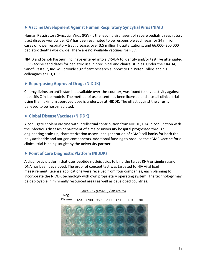#### **Vaccine Development Against Human Respiratory Syncytial Virus (NIAID)**

Human Respiratory Syncytial Virus (RSV) is the leading viral agent of severe pediatric respiratory tract disease worldwide. RSV has been estimated to be responsible each year for 34 million cases of lower respiratory tract disease, over 3.5 million hospitalizations, and 66,000- 200,000 pediatric deaths worldwide. There are no available vaccines for RSV.

NIAID and Sanofi Pasteur, Inc. have entered into a CRADA to identify and/or test live attenuated RSV vaccine candidates for pediatric use in preclinical and clinical studies. Under the CRADA, Sanofi Pasteur, Inc. will provide significant research support to Dr. Peter Collins and his colleagues at LID, DIR.

#### **Repurposing Approved Drugs (NIDDK)**

Chlorcyclizine, an antihistamine available over-the-counter, was found to have activity against hepatitis C in lab models. The method of use patent has been licensed and a small clinical trial using the maximum approved dose is underway at NIDDK. The effect against the virus is believed to be host-mediated.

#### **Global Disease Vaccines (NIDDK)**

A conjugate cholera vaccine with intellectual contribution from NIDDK, FDA in conjunction with the infectious diseases department of a major university hospital progressed through engineering scale-up, characterization assays, and generation of cGMP cell banks for both the polysaccharide and antigen components. Additional funding to produce the cGMP vaccine for a clinical trial is being sought by the university partner.

#### **Point of Care Diagnostic Platform (NIDDK)**

A diagnostic platform that uses peptide nucleic acids to bind the target RNA or single strand DNA has been developed. The proof of concept test was targeted to HIV viral load measurement. License applications were received from four companies, each planning to incorporate the NIDDK technology with own proprietary operating system. The technology may be deployable in minimally resourced areas as well as developed countries.

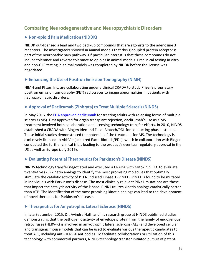# **Combating Neurodegenerative and Neuropsychiatric Disorders**

#### **Non-opioid Pain Medication (NIDDK)**

NIDDK out-licensed a lead and two back-up compounds that are agonists to the adenosine 3 receptors. The investigators showed in animal models that this g-coupled protein receptor is part of the neuropathic pain pathway. Of particular interest is that these compounds do not induce tolerance and reverse tolerance to opioids in animal models. Preclinical testing in vitro and non-GLP testing in animal models was completed by NIDDK before the license was negotiated.

#### **Enhancing the Use of Positron Emission Tomography (NIMH)**

NIMH and Pfizer, Inc. are collaborating under a clinical CRADA to study Pfizer's proprietary positron emission tomography (PET) radiotracer to image abnormalities in patients with neuropsychiatric disorders.

#### **Approval of Daclizumab (Zinbryta) to Treat Multiple Sclerosis (NINDS)**

In May 2016, the [FDA approved daclizumab f](https://www.fda.gov/NewsEvents/Newsroom/PressAnnouncements/ucm504000.htm)or treating adults with relapsing forms of multiple sclerosis (MS). First approved for organ transplant rejection, daclizumab's use as a MS treatment involved both collaboration and licensing technology transfer efforts. In 2010, NINDS established a CRADA with Biogen Idec and Facet Biotech/PDL for conducting phase I studies. These initial studies demonstrated the potential of the treatment for MS. The technology is exclusively licensed to AbbVie (acquired Facet Biotech/PDL), which in collaboration with Biogen conducted the further clinical trials leading to the product's eventual regulatory approval in the US as well as Europe (July 2016).

#### **Evaluating Potential Therapeutics for Parkinson's Disease (NINDS)**

NINDS technology transfer negotiated and executed a CRADA with Mitokinin, LLC to evaluate twenty-five (25) kinetin analogs to identify the most promising molecules that optimally stimulate the catalytic activity of PTEN Induced Kinase 1 (PINK1). PINK1 is found to be mutated in individuals with Parkinson's disease. The most clinically relevant PINK1 mutations are those that impact the catalytic activity of the kinase. PINK1 utilizes kinetin analogs catalytically better than ATP. The identification of the most promising kinetin analogs can lead to the development of novel therapies for Parkinson's disease.

#### **Therapeutics for Amyotrophic Lateral Sclerosis (NINDS)**

In late September 2015, Dr. Avindra Nath and his research group at NINDS published studies demonstrating that the pathogenic activity of envelope protein from the family of endogenous retroviruses (HERV-K) is involved in amyotrophic lateral sclerosis (ALS) and developed cellular and transgenic mouse models that can be used to evaluate various therapeutic candidates to treat ALS, including anti-HERV-K antibodies. To facilitate collaborations or utilization of this technology with commercial partners, NINDS technology transfer initiated pursuit of patent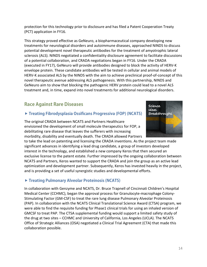protection for this technology prior to disclosure and has filed a Patent Cooperation Treaty (PCT) application in FY16.

This strategy proved effective as GeNeuro, a biopharmaceutical company developing new treatments for neurological disorders and autoimmune diseases, approached NINDS to discuss potential development novel therapeutic antibodies for the treatment of amyotrophic lateral sclerosis (ALS). NINDS negotiated a confidentiality disclosure agreement to facilitate discussions of a potential collaboration, and CRADA negotiations began in FY16. Under the CRADA (executed in FY17), GeNeuro will provide antibodies designed to block the activity of HERV-K envelope protein. These candidate antibodies will be tested in cellular and animal models of HERV-K associated ALS by the NINDS with the aim to achieve preclinical proof-of-concept of this novel therapeutic avenue addressing ALS pathogenesis. With this partnership, NINDS and GeNeuro aim to show that blocking the pathogenic HERV protein could lead to a novel ALS treatment and, in time, expand into novel treatments for additional neurological disorders.

# **Race Against Rare Diseases**

## **Treating Fibrodysplasia Ossificans Progressiva (FOP) (NCATS)**

The original CRADA between NCATS and Partners Healthcare envisioned the development of small molecule therapeutics for FOP, a debilitating rare disease that leaves the sufferers with increasing morbidity, disability and eventually death. The CRADA allowed Partners



to take the lead on patenting and licensing the CRADA inventions. As the project team made significant advances in identifying a lead drug candidate, a group of investors developed interest in the technology, and established a new company Keros that then secured an exclusive license to the patent estate. Further impressed by the ongoing collaboration between NCATS and Partners, Keros wanted to support the CRADA and join the group as an active lead optimization and development partner. Subsequently, Keros has invested heavily in the project, and is providing a set of useful synergistic studies and developmental efforts.

#### **Treating Pulmonary Alveolar Proteinosis (NCATS)**

In collaboration with Genzyme and NCATS, Dr. Bruce Trapnell of Cincinnati Children's Hospital Medical Center (CCHMC), began the approval process for Granulocyte-macrophage Colony-Stimulating Factor (GM-CSF) to treat the rare lung disease Pulmonary Alveolar Proteinosis (PAP). In collaboration with the NCATS Clinical Translational Science Award (CTSA) program, we were able to find the requisite funding for Phase1 clinical trials for using an inhaled version of GMCSF to treat PAP. The CTSA supplemental funding would support a limited safety study of the drug at two sites – CCHMC and University of California, Los Angeles (UCLA). The NCATS Office of Strategic Alliances (OSA) negotiated a Clinical Trial Agreement (CTA) that made this collaboration possible.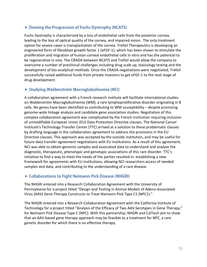#### **Slowing the Progression of Fuchs Dystrophy (NCATS)**

Fuchs Dystrophy is characterized by a loss of endothelial cells from the posterior cornea, leading to the loss of optical quality of the cornea, and impaired vision. The only treatment option for severe cases is transplantation of the cornea. Trefoil Therapeutics is developing an engineered form of fibroblast growth factor 1 (eFGF-1), which has been shown to stimulate the proliferation and migration of human corneal endothelial cells in vitro and has the potential to be regenerative in vivo. The CRADA between NCATS and Trefoil would allow the company to overcome a number of preclinical challenges including drug scale up, toxicology testing and the development of bio-analytical methods. Once the CRADA negotiations were negotiated, Trefoil successfully raised additional funds from private investors to get eFGF-1 to the next stage of drug development.

#### **Studying Waldenström Macroglobulinemia (NCI)**

A collaboration agreement with a French research institute will facilitate international studies on Waldenström Macroglobulinemia (WM), a rare lymphoproliferative disorder originating in B cells. No genes have been identified as contributing to WM susceptibility – despite promising genome-wide linkage analysis and candidate gene association studies. Negotiation of this complex collaboration agreement was complicated by the French institution requiring inclusion of unmodifiable European Union (EU) Data Protection Directive clauses. The National Cancer Institute's Technology Transfer Center (TTC) arrived at a solution to these problematic clauses by drafting language in the collaboration agreement to address the provisions in the EU Directive clauses. This approach was accepted by the outside institution, and may be useful for future data transfer agreement negotiations with EU institutions. As a result of this agreement, NCI was able to obtain genomic samples and associated data to understand and analyze the diagnostic, therapeutic, phenotypic and genotypic associations of this rare disorder. TTC's initiative to find a way to meet the needs of the parties resulted in: establishing a new framework for agreements with EU institutions, allowing NCI researchers access of needed samples and data, and contributing to the understanding of a rare disease.

#### **Collaborations to Fight Neimann-Pick Disease (NHGRI)**

The NHGRI entered into a Research Collaboration Agreement with the University of Pennsylvania for a project titled "Design and Testing in Animal Models of Adeno-Associated Virus (AAV) Gene Therapy Constructs to Treat Niemann-Pick Type C1 (NPC1)."

The NHGRI entered into a Research Collaboration Agreement with the California Institute of Technology for a project titled "Analysis of the Efficacy of Two AAV Serotypes in Gene Therapy," for Neimann Pick Disease Type C (NPC). With this partnership, NHGRI and CalTech aim to show that an AAV-based gene therapy approach may be feasible as a treatment for NPC, a rare genetic disorder for which there is no effective therapy.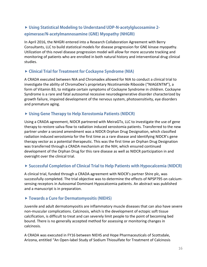# **Using Statistical Modeling to Understand UDP-N-acetylglucosamine 2 epimerase/N-acetylmannosamine (GNE) Myopathy (NHGRI)**

In April 2016, the NHGRI entered into a Research Collaboration Agreement with Berry Consultants, LLC to build statistical models for disease progression for GNE kinase myopathy. Utilization of this novel disease progression model will allow for more accurate tracking and monitoring of patients who are enrolled in both natural history and interventional drug clinical studies.

#### **Clinical Trial for Treatment for Cockayne Syndrome (NIA)**

A CRADA executed between NIA and Chromadex allowed for NIA to conduct a clinical trial to investigate the ability of ChromaDex's proprietary Nicotinamide Riboside ("NIAGENTM"), a form of Vitamin B3, to mitigate certain symptoms of Cockayne Syndrome in children. Cockayne Syndrome is a rare and fatal autosomal recessive neurodegenerative disorder characterized by growth failure, impaired development of the nervous system, photosensitivity, eye disorders and premature aging.

#### **Using Gene Therapy to Help Xerostomia Patients (NIDCR)**

Using a CRADA agreement, NIDCR partnered with MeiraGTx, LLC to investigate the use of gene therapy to restore saliva flow to radiation induced xerostomia patients. Transferred to the new partner under a second amendment was a NIDCR Orphan Drug Designation, which classified radiation induced xerostomia for the first time as a rare disease and identifying NIDCR's gene therapy vector as a potential therapeutic. This was the first time an Orphan Drug Designation was transferred through a CRADA mechanism at the NIH, which ensured continued development of the Orphan Drug for this rare disease as well as NIDCR participation in and oversight over the clinical trial.

#### **Successful Completion of Clinical Trial to Help Patients with Hypocalcemia (NIDCR)**

A clinical trial, funded through a CRADA agreement with NIDCR's partner Shire plc, was successfully completed. The trial objective was to determine the effects of NPSP795 on calciumsensing receptors in Autosomal Dominant Hypocalcemia patients. An abstract was published and a manuscript is in preparation.

#### **Towards a Cure for Dermatomyositis (NIEHS)**

Juvenile and adult dermatomyositis are inflammatory muscle diseases that can also have severe non-muscular complications. Calcinosis, which is the development of ectopic soft tissue calcification, is difficult to treat and can severely limit people to the point of becoming bed bound. There is no generally accepted method for assessing or monitoring changes in calcinosis.

A CRADA was executed in FY16 between NIEHS and Hope Pharmaceuticals of Scottsdale, Arizona, entitled "An Open-label Study of Sodium Thiosulfate for Treatment of Calcinosis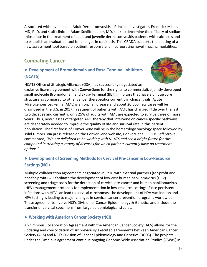Associated with Juvenile and Adult Dermatomyositis." Principal Investigator, Frederick Miller, MD, PhD, and staff clinician Adam Schiffenbauer, MD, seek to determine the efficacy of sodium thiosulfate in the treatment of adult and juvenile dermatomyositis patients with calcinosis and to establish an evaluation tool for changes in calcinosis. This CRADA supports the piloting of a new assessment tool based on patient response and incorporating novel imaging modalities.

# **Combating Cancer**

# **Development of Bromodomain and Extra-Terminal Inhibitors (NCATS)**



NCATS Office of Strategic Alliances (OSA) has successfully negotiated an exclusive license agreement with ConverGene for the rights to commercialize jointly developed small molecule Bromodomain and Extra-Terminal (BET) inhibitors that have a unique core structure as compared to other cancer therapeutics currently in clinical trials. Acute Myelogenous Leukemia (AML) is an orphan disease and about 20,000 new cases will be diagnosed in the U.S. in 2017. Treatment of patients with AML has changed little over the last two decades and currently, only 25% of adults with AML are expected to survive three or more years. Thus, new classes of targeted AML therapy that intervene on cancer-specific pathways are desperately needed to improve the quality of life and survival rate in this patient population. The first focus of ConverGene will be in the hematology oncology space followed by solid tumors. Via press release on the ConverGene website, ConverGene CEO Dr. Jeff Strovel commented, *"We are delighted to be working with NCATS and see a bright future for this compound in treating a variety of diseases for which patients currently have no treatment options."*

# **Development of Screening Methods for Cervical Pre-cancer in Low-Resource Settings (NCI)**

Multiple collaboration agreements negotiated in FY16 with external partners (for-profit and not-for-profit) will facilitate the development of low-cost human papillomavirus (HPV) screening and triage tools for the detection of cervical pre-cancer and human papillomavirus (HPV) management protocols for implementation in low-resource settings. Since persistent infections with HPV can lead to cervical carcinomas, the development of HPV vaccination and HPV testing is leading to major changes in cervical cancer prevention programs worldwide. These agreements involve NCI's Division of Cancer Epidemiology & Genetics and include the transfer of cervical specimens from large epidemiological studies.

#### **Working with American Cancer Society (NCI)**

An Omnibus Collaboration Agreement with the American Cancer Society (ACS) allows for the updating and consolidation of six previously executed agreements between American Cancer Society (ACS) and NCI's Division of Cancer Epidemiology and Genetics (DCEG). The projects under the Omnibus agreement continue ongoing Genome-Wide Association Studies (GWAS) in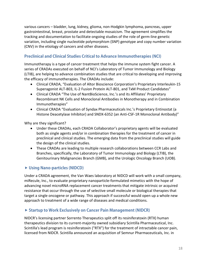various cancers – bladder, lung, kidney, glioma, non-Hodgkin lymphoma, pancreas, upper gastrointestinal, breast, prostate and detectable mosaicism. The agreement simplifies the tracking and documentation to facilitate ongoing studies of the role of germ-line genetic variation, including single nucleotide polymorphism (SNP) genotype and copy number variation (CNV) in the etiology of cancers and other diseases.

### **Preclinical and Clinical Studies Critical to Advance Immunotherapies (NCI)**

Immunotherapy is a type of cancer treatment that helps the immune system fight cancer. A series of CRADAs executed on behalf of NCI's Laboratory of Tumor Immunology and Biology (LTIB), are helping to advance combination studies that are critical to developing and improving the efficacy of immunotherapies. The CRADAs include:

- Clinical CRADA, "Evaluation of Altor Bioscience Corporation's Proprietary Interleukin-15 Superagonist ALT-803, IL-2 Fusion Protein ALT-801, and TxM Product Candidates"
- Clinical CRADA "The Use of NantBioScience, Inc.'s and its Affiliates' Proprietary Recombinant NK Cells and Monoclonal Antibodies in Monotherapy and in Combination Immunotherapies"
- Clinical CRADA "Evaluation of Syndax Pharmaceuticals Inc.'s Proprietary Entinostat (a Histone Deacetylase Inhibitor) and SNDX-6352 (an Anti-CSF-1R Monoclonal Antibody)"

Why are they significant?

- Under these CRADAs, each CRADA Collaborator's proprietary agents will be evaluated both as single agents and/or in combination therapies for the treatment of cancer in preclinical and clinical studies. The emerging data from the preclinical studies will guide the design of the clinical studies.
- These CRADAs are leading to multiple research collaborations between CCR Labs and Branches, specifically, the Laboratory of Tumor Immunology and Biology (LTIB), the Genitourinary Malignancies Branch (GMB), and the Urologic Oncology Branch (UOB).

#### **Using Nano-particles (NIDCD)**

Under a CRADA agreement, the Van Waes laboratory at NIDCD will work with a small company, miRecule, Inc., to evaluate proprietary nanoparticle-formulated mimetics with the hope of advancing novel microRNA replacement cancer treatments that mitigate intrinsic or acquired resistance that occur through the use of selective small molecule or biological therapies that target a single oncogene or pathway. This approach if successful would open up a whole new approach to treatment of a wide range of diseases and medical conditions.

#### **Startup to Work Exclusively on Cancer Pain Management (NIDCR)**

NIDCR's licensing partner Sorrento Therapeutics split off its resiniferatoxin (RTX) human therapeutics division to its current-majority owned subsidiary Scintilla Pharmaceutical, Inc. Scintilla's lead program is resiniferatoxin ("RTX") for the treatment of intractable cancer pain, licensed from NIDCR. Scintilla announced an acquisition of Semnur Pharmaceuticals, Inc. in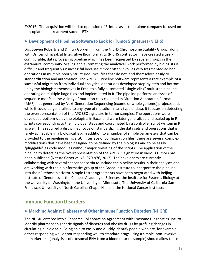FY2016. The acquisition will lead to operation of Scintilla as a stand-alone company focused on non-opiate pain treatment such as RTX.

#### **Development of Pipeline Software to Look for Tumor Signatures (NIEHS)**

Drs. Steven Roberts and Dmitry Gordenin from the NIEHS Chromosome Stability Group, along with Dr. Les Klimczak at Integrative Bioinformatics (NIEHS contractor) have created a userconfigurable, data processing pipeline which has been requested by several groups in the extramural community. Scaling and automating the analytical work performed by biologists is difficult and frequently unsuccessful because it most often involves very fragmented ad hoc operations in multiple poorly structured Excel files that do not lend themselves easily to standardization and automation. The APOBEC Pipeline Software represents a rare example of a successful migration from individual analytical operations developed step-by-step and bottomup by the biologists themselves in Excel to a fully automated "single-click" multistep pipeline operating on multiple large files and implemented in R. The pipeline performs analyses of sequence motifs in the vicinity of mutation calls collected in Mutation Annotation Format (MAF) files generated by Next Generation Sequencing (exome or whole genome) projects and, while it could be generalized to any type of mutation in any type of data, it focuses on detecting the overrepresentation of the APOBEC signature in tumor samples. The operations were developed bottom-up by the biologists in Excel and were later generalized and scaled up in R scripts corresponding to the individual steps and coordinated by a controller script written in R as well. This required a disciplined focus on standardizing the data sets and operations that is rarely achievable in a biological lab. In addition to a number of simple parameters that can be provided to the pipeline using a GUI interface or configuration files, there are several complex modifications that have been designed to be defined by the biologists and to be easily "pluggable" as code modules without major rewriting of the scripts. The application of the pipeline to detecting the overrepresentation of the APOBEC signature in various tumors has been published (Nature Genetics: 45, 970-976, 2013). The developers are currently collaborating with several cancer consortia to include the pipeline results in their analyses and are working with the bioinformatics group of the Broad Institute to incorporate the pipeline into their Firehose platform. Simple Letter Agreements have been negotiated with Beijing Institute of Genomics at the Chinese Academy of Sciences, the Institute for Systems Biology at the University of Washington, the University of Minnesota, The University of California-San Francisco, University of North Carolina-Chapel Hill, and the National Cancer Institute.

# **Immune Function Disorders**

#### **Marching Against Diabetes and Other Immune Function Disorders (NHGRI)**

The NHGRI entered into a Research Collaboration Agreement with Exosome Diagnostics, Inc. to identify pharmacoepigenetic signals of diabetes and obesity drugs by profiling changes in circulating nucleic acid. Being able to easily and quickly identify people who are, for example, either responding well or not responding well to standard drugs using a simple, non-invasive biomarker test (analysis is of exosomal RNA from a blood or urine sample) should allow these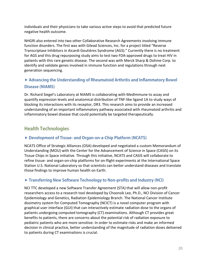individuals and their physicians to take various active steps to avoid that predicted future negative health outcome.

NHGRI also entered into two other Collaborative Research Agreements involving immune function disorders. The first was with Gilead Sciences, Inc. for a project titled "Reverse Transcriptase Inhibitors in Aicardi Goutières Syndrome (AGS)." Currently there is no treatment for AGS and this drug repurposing study aims to test two FDA-approved drugs to treat HIV in patients with this rare genetic disease. The second was with Merck Sharp & Dohme Corp. to identify and validate genes involved in immune function and regulations through next generation sequencing.

# **Advancing the Understanding of Rheumatoid Arthritis and Inflammatory Bowel Disease (NIAMS)**

Dr. Richard Siegel's Laboratory at NIAMS is collaborating with MedImmune to assay and quantify expression levels and anatomical distribution of TNF-like ligand 1A to study ways of blocking its interactions with its receptor, DR3. This research aims to provide an increased understanding of an important inflammatory pathway associated with rheumatoid arthritis and inflammatory bowel disease that could potentially be targeted therapeutically.

# **Health Technologies**

#### **Development of Tissue- and Organ-on-a-Chip Platform (NCATS)**

NCATS Office of Strategic Alliances (OSA) developed and negotiated a custom Memorandum of Understanding (MOU) with the Center for the Advancement of Science in Space (CASIS) on its Tissue Chips in Space initiative. Through this initiative, NCATS and CASIS will collaborate to refine tissue- and organ-on-chip platforms for on-flight experiments at the International Space Station U.S. National Laboratory so that scientists can better understand diseases and translate those findings to improve human health on Earth.

#### **Transferring New Software Technology to Non-profits and Industry (NCI)**

NCI TTC developed a new Software Transfer Agreement (STA) that will allow non-profit researchers access to a research tool developed by Choonsik Lee, Ph.D., NCI Division of Cancer Epidemiology and Genetics, Radiation Epidemiology Branch. The National Cancer Institute dosimetry system for Computed Tomography (NCICT) is a novel computer program with graphical user interface (GUI) that can interactively estimate radiation dose to the organs of patients undergoing computed tomography (CT) examinations. Although CT provides great benefits to patients, there are concerns about the potential risk of radiation exposure to pediatric patients who are more sensitive. In order to estimate risks and make an informed decision in clinical practice, better understanding of the magnitude of radiation doses delivered to patients during CT examinations is crucial.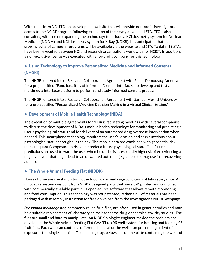With input from NCI TTC, Lee developed a website that will provide non-profit investigators access to the NCICT program following execution of the newly developed STA. TTC is also consulting with Lee on expanding the technology to include a NCI dosimetry system for Nuclear Medicine (NCINM) and NCI dosimetry system for X-Ray (NCIXR). It is anticipated that this growing suite of computer programs will be available via the website and STA. To date, 19 STAs have been executed between NCI and research organizations worldwide for NCICT. In addition, a non-exclusive license was executed with a for-profit company for this technology.

## **Using Technology to Improve Personalized Medicine and Informed Consents (NHGRI)**

The NHGRI entered into a Research Collaboration Agreement with Public Democracy America for a project titled "Functionalities of Informed Consent Interface," to develop and test a multimedia interface/platform to perform and study informed consent process.

The NHGRI entered into a Research Collaboration Agreement with Samuel Merritt University for a project titled "Personalized Medicine Decision Making in a Virtual Clinical Setting."

#### **Development of Mobile Health Technology (NIDA)**

The execution of multiple agreements for NIDA is facilitating meetings with several companies to discuss the development of NIDA's mobile health technology for monitoring and predicting a user's psychological status and for delivery of an automated drug overdose intervention when needed. This smartphone technology monitors the user's location and asks questions about psychological status throughout the day. The mobile data are combined with geospatial risk maps to quantify exposure to risk and predict a future psychological state. The future predictions are used to warn the user when he or she is at especially high risk of experiencing a negative event that might lead to an unwanted outcome (e.g., lapse to drug use in a recovering addict).

#### **The Whole Animal Feeding Flat (NIDDK)**

Hours of time are spent monitoring the food, water and cage conditions of laboratory mice. An innovative system was built from NIDDK designed parts that were 3-D printed and combined with commercially available parts plus open-source software that allows remote monitoring and food consumption. This technology was not patented, rather a bill of materials has been packaged with assembly instruction for free download from the Investigator's NIDDK webpage.

*Drosophila melanogaster,* commonly called fruit flies, are often used in genetic studies and may be a suitable replacement of laboratory animals for some drug or chemical toxicity studies. The flies are small and hard to manipulate. An NIDDK biologist-engineer tackled the problem and developed the Whole Animal Feeding Flat (WAFFL), a 96-well system for housing and feeding 96 fruit flies. Each well can contain a different chemical or the wells can present a gradient of exposures to a single chemical. The housing tray, below, sits on the plate containing the wells of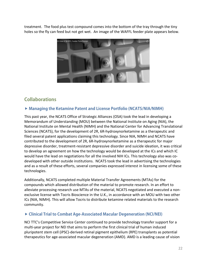treatment. The food plus test compound comes into the bottom of the tray through the tiny holes so the fly can feed but not get wet. An image of the WAFFL feeder plate appears below.



# **Collaborations**

#### **Managing the Ketamine Patent and License Portfolio (NCATS/NIA/NIMH)**

This past year, the NCATS Office of Strategic Alliances (OSA) took the lead in developing a Memorandum of Understanding (MOU) between the National Institute on Aging (NIA), the National Institute on Mental Health (NIMH) and the National Center for Advancing Translational Sciences (NCATS), for the development of 2R, 6R-hydroxynorketamine as a therapeutic and filed several patent applications claiming this technology. Since NIA, NIMH and NCATS have contributed to the development of 2R, 6R-hydroxynorketamine as a therapeutic for major depressive disorder, treatment-resistant depressive disorder and suicide ideation, it was critical to develop an agreement on how the technology would be developed at the ICs and which IC would have the lead on negotiations for all the involved NIH ICs. This technology also was codeveloped with other outside institutions. NCATS took the lead in advertising the technologies and as a result of these efforts, several companies expressed interest in licensing some of these technologies.

Additionally, NCATS completed multiple Material Transfer Agreements (MTAs) for the compounds which allowed distribution of the material to promote research. In an effort to alleviate processing research use MTAs of the material, NCATS negotiated and executed a nonexclusive license with Tocris Bioscience in the U.K., in accordance with an MOU with two other ICs (NIA, NIMH). This will allow Tocris to distribute ketamine related materials to the research community.

#### **Clinical Trial to Combat Age-Associated Macular Degeneration (NCI/NEI)**

NCI TTC's Competitive Service Center continued to provide technology transfer support for a multi-year project for NEI that aims to perform the first clinical trial of human induced pluripotent stem cell (iPSC)-derived retinal pigment epithelium (RPE) transplants as potential therapeutics for age-associated macular degeneration (AMD). AMD is a leading cause of vision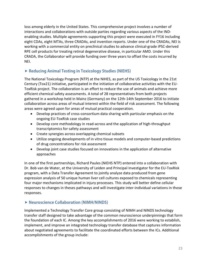loss among elderly in the United States. This comprehensive project involves a number of interactions and collaborations with outside parties regarding various aspects of the INDenabling studies. Multiple agreements supporting this project were executed in FY16 including eight CDAs, eight MTAs, three CRADAs, and invention reports. Under one of the CRADAs, NEI is working with a commercial entity on preclinical studies to advance clinical-grade iPSC-derived RPE cell products for treating retinal degenerative disease, in particular AMD. Under this CRADA, the Collaborator will provide funding over three years to offset the costs incurred by NEI.

#### **Reducing Animal Testing in Toxicology Studies (NIEHS)**

The National Toxicology Program (NTP) at the NIHES, as part of the US Toxicology in the 21st Century (Tox21) initiative, participated in the initiation of collaborative activities with the EU-ToxRisk project. The collaboration is an effort to reduce the use of animals and achieve more efficient chemical safety assessments. A total of 28 representatives from both projects gathered in a workshop held in Mainz (Germany) on the 12th-14th September 2016 to initiate collaboration across areas of mutual interest within the field of risk assessment. The following areas were agreed upon for areas of mutual practical cooperation.

- Develop practices of cross-consortium data sharing with particular emphasis on the ongoing EU-ToxRisk case studies
- Develop core methodology in read-across and the application of high-throughput transcriptomics for safety assessment
- Create synergies across overlapping chemical subsets
- Utilize ongoing developments of in vitro tissue models and computer-based predictions of drug concentrations for risk assessment
- Develop joint case studies focused on innovations in the application of alternative approaches

In one of the first partnerships, Richard Paules (NIEHS NTP) entered into a collaboration with Dr. Bob van de Water, at the University of Leiden and Principal Investigator for the EU-ToxRisk program, with a Data Transfer Agreement to jointly analyze data produced from gene expression analysis of 50 unique human liver cell cultures exposed to chemicals representing four major mechanisms implicated in injury processes. This study will better define cellular responses to changes in theses pathways and will investigate inter-individual variations in those responses.

#### ▶ **Neuroscience Collaboration** (NIMH/NINDS)

Implemented a Technology Transfer Core group consisting of NIMH and NINDS technology transfer staff designed to take advantage of the common neuroscience underpinnings that form the foundation of each IC. Among the key accomplishments of 2016 were working to establish, implement, and improve an integrated technology transfer database that captures information about negotiated agreements to facilitate the coordinated efforts between the ICs. Additional accomplishments of the group include: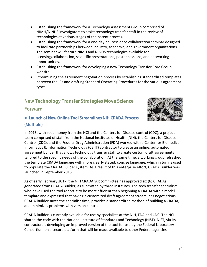- Establishing the framework for a Technology Assessment Group comprised of NIMH/NINDS investigators to assist technology transfer staff in the review of technologies at various stages of the patent process.
- Establishing the framework for a one-day neuroscience collaboration seminar designed to facilitate partnerships between industry, academic, and government organizations. The seminar will feature NIMH and NINDS technologies available for licensing/collaboration, scientific presentations, poster sessions, and networking opportunities.
- Establishing the framework for developing a new Technology Transfer Core Group website.
- Streamlining the agreement negotiation process by establishing standardized templates between the ICs and drafting Standard Operating Procedures for the various agreement types.

# **New Technology Transfer Strategies Move Science Forward**



## **Launch of New Online Tool Streamlines NIH CRADA Process (Multiple)**

In 2013, with seed money from the NCI and the Centers for Disease control (CDC), a project team comprised of staff from the National Institutes of Health (NIH), the Centers for Disease Control (CDC), and the Federal Drug Administration (FDA) worked with a Center for Biomedical Informatics & Information Technology (CBIIT) contractor to create an online, automated agreement builder that allows technology transfer staff to create custom draft agreements tailored to the specific needs of the collaboration. At the same time, a working group refreshed the template CRADA language with more clearly stated, concise language, which in turn is used to populate the CRADA Builder system. As a result of this enterprise effort, CRADA Builder was launched in September 2015.

As of early February 2017, the NIH CRADA Subcommittee has approved six (6) CRADAs generated from CRADA Builder, as submitted by three institutes. The tech transfer specialists who have used the tool report it to be more efficient than beginning a CRADA with a model template and expressed that having a customized draft agreement streamlines negotiations. CRADA Builder saves the specialist time, provides a standardized method of building a CRADA, and minimizes problems with version control.

CRADA Builder is currently available for use by specialists at the NIH, FDA and CDC. The NCI shared the code with the National Institute of Standards and Technology (NIST). NIST, via its contractor, is developing an improved version of the tool for use by the Federal Laboratory Consortium on a secure platform that will be made available to other Federal agencies.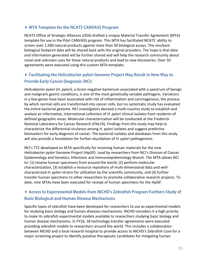#### **MTA Template for the NCATS CANVASS Program**

NCATS Office of Strategic Alliances (OSA) drafted a unique Material Transfer Agreement (MTA) template for use in the Pilot CANVASS program. This MTA has facilitated NCATS' ability to screen over 1,500 natural products against more than 30 biological assays. The resultant biological footprint data will be shared back with the original providers. The hope is that data and information generated will be further shared and will help the research community about novel and unknown uses for these natural products and lead to new discoveries. Over 50 agreements were executed using this custom MTA template.

# **Facilitating the Helicobacter pylori Genome Project May Result in New Way to Provide Early Cancer Diagnosis (NCI)**

*Helicobacter pylori* (*H. pylori*), a Gram-negative bacterium associated with a spectrum of benign and malignant gastric conditions, is one of the most genetically variable pathogens. Variations in a few genes have been associated with risk of inflammation and carcinogenesis, the process by which normal cells are transformed into cancer cells, but no systematic study has evaluated the entire bacterial genome. NCI investigators devised a multi-country study to establish and analyze an informative, international collection of *H. pylori* clinical isolates from residents of defined geographic areas. Molecular characterization will be conducted at the Frederick National Laboratory for Cancer Research (FNLCR). Findings from this study may help to characterize the differential virulence among *H. pylori* isolates and suggest predictive biomarkers for early diagnosis of cancer. The bacterial isolates and databases from this study will also provide a foundation for further elucidation of *H. pylori* pathogenesis.

NCI's TTC developed an MTA specifically for incoming human materials for the new *Helicobacter pylori* Genome Project (HpGP). Lead by researchers from NCI's Division of Cancer Epidemiology and Genetics, Infections and Immunoepidemiology Branch. The MTA allows NCI to: (1) receive human specimens from around the world, (2) perform molecular characterization, (3) establish a resource repository of multi-dimensional data and wellcharacterized *H. pylori* strains for utilization by the scientific community, and (4) further transfer human specimens to other researchers to promote collaborative research projects. To date, nine MTAs have been executed for receipt of human specimens for the HpGP.

## **Access to Experimental Models from NICHD's Zebrafish Program Furthers Study of Basic Biological and Human Disease Mechanisms**

Specific types of zebrafish have been developed for researchers to use as experimental models for studying basic biology and human diseases mechanisms. NICHD considers it a high priority to make its zebrafish experimental models available to researchers studying basic biology and human disease mechanisms. In FY16, 18 technology transfer agreements were executed providing zebrafish models to researchers around the world. This includes a collaboration between NICHD and a local research hospital to provide access to NICHD's Zebrafish Core for a major screening project to identify putative therapeutic candidates for mitigating human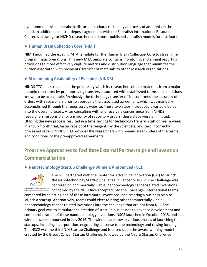hyperammonemia, a metabolic disturbance characterized by an excess of ammonia in the blood. In addition, a master deposit agreement with the Zebrafish International Resource Center is allowing for NICHD researchers to deposit published zebrafish models for distribution.

### **Human Brain Collection Core (NIMH)**

NIMH modified the existing MTA template for the Human Brain Collection Core to streamline programmatic operations. This new MTA template contains monitoring and annual reporting provisions to more effectively capture metrics and distribution language that minimizes the burden associated with recipients' transfer of materials to other research organizations.

## **Streamlining Availability of Plasmids (NINDS)**

NINDS TTO has streamlined the process by which its researchers obtain materials from a major plasmid repository by pre-approving transfers associated with established terms and conditions known to be acceptable. Previously, the technology transfer office confirmed the accuracy of orders with researchers prior to approving the associated agreement, which was manually accomplished through the repository's website. These two steps introduced a variable delay into the overall process. After consulting with and receiving concurrence from NINDS researchers responsible for a majority of repository orders, these steps were eliminated. Utilizing the new process resulted in a time savings for technology transfer staff of near a week in a four-month trial, faster receipt of the reagents by the scientists, and zero incorrectly processed orders. NINDS TTO provides the researchers with bi-annual reminders of the terms and conditions of the pre-approved agreements.

# **Proactive Approaches to Facilitate External Partnerships and Invention Commercialization**

#### **Nanotechnology Startup Challenge Winners Announced (NCI)**



The NCI partnered with the Center for Advancing Innovation (CAI) to launch the Nanotechnology Startup Challenge in Cancer or NSC2. The Challenge was centered on commercially viable, nanotechnology cancer-related inventions conceived by the NCI. Once accepted into the Challenge, international teams

competed by selecting one of these intramural inventions, and creating a business plan to launch a startup. Alternatively, teams could elect to bring other commercially viable, nanotechnology cancer-related inventions into the challenge that are not from NCI. The primary goal was to stimulate the creation of start-up businesses to advance development and commercialization of these nanotechnology inventions. NSC2 launched in October 2015, and winners were announced in July 2016. The winners are now in various phases of launching their startups, including incorporation, negotiating a license to the technology and raising funding. The NSC2 was the third NIH Startup Challenge and is based upon the award-winning model created by the Breast Cancer Startup Challenge, followed by the Neuro Startup Challenge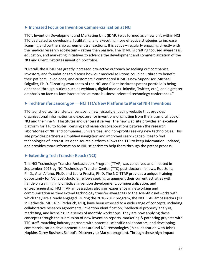#### **Increased Focus on Invention Commercialization at NCI**

TTC's Invention Development and Marketing Unit (IDMU) was formed as a new unit within NCI TTC dedicated to developing, facilitating, and executing more effective strategies to increase licensing and partnership agreement transactions. It is active – regularly engaging directly with the medical research ecosystem – rather than passive. The IDMU is crafting focused awareness, education, and marketing initiatives to advance the development and commercialization of the NCI and Client Institutes invention portfolios.

"Overall, the IDMU has greatly increased pro-active outreach by seeking out companies, investors, and foundations to discuss how our medical solutions could be utilized to benefit their patients, loved ones, and customers," commented IDMU's new Supervisor, Michael Salgaller, Ph.D. "Creating awareness of the NCI and Client Institutes patent portfolio is being enhanced through outlets such as webinars, digital media (LinkedIn, Twitter, etc.), and a greater emphasis on face-to-face interactions at more business-oriented technology conferences."

#### **Techtransfer.cancer.gov — NCI TTC's New Platform to Market NIH Inventions**

TTC launched techtransfer.cancer.gov, a new, visually engaging website that provides organizational information and exposure for inventions originating from the intramural labs of NCI and the nine NIH Institutes and Centers it serves. The new web site provides an excellent platform for TTC to foster licensing and research collaborations between the research laboratories of NIH and companies, universities, and non-profits seeking new technologies. This site provides partners a simplified navigation and improved search capabilities to find technologies of interest. Its open source platform allows the TTC to keep information updated, and provides more information to NIH scientists to help them through the patent process.

#### **Extending Tech Transfer Reach (NCI)**

The NCI Technology Transfer Ambassadors Program (TTAP) was conceived and initiated in September 2016 by NCI Technology Transfer Center (TTC) post-doctoral fellows, Rob Sons, Ph.D., Alan Alfano, Ph.D. and Laura Prestia, Ph.D. The NCI TTAP provides a unique training opportunity for NCI post-doctoral fellows seeking to augment their current activities with hands-on training in biomedical invention development, commercialization, and entrepreneurship. NCI TTAP ambassadors also gain experience in networking and communication as they extend technology transfer awareness to the scientific networks with which they are already engaged. During the 2016-2017 program, the NCI TTAP ambassadors (11 in Bethesda, MD; 4 in Frederick, MD), have been exposed to a wide range of concepts, including collaborative research agreements, invention identification, intellectual property analysis, marketing, and licensing, in a series of monthly workshops. They are now applying these concepts through the submission of new invention reports, marketing & patenting projects with TTC staff, matching industry partners with potential scientific collaborators, and developing commercialization development plans around NCI technologies (in collaboration with Johns Hopkins Carey Business School's Discovery to Market program). Through these high impact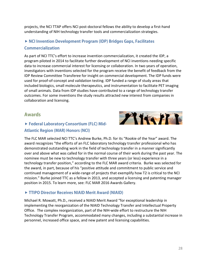projects, the NCI TTAP offers NCI post-doctoral fellows the ability to develop a first-hand understanding of NIH technology transfer tools and commercialization strategies.

# **NCI Invention Development Program (IDP) Bridges Gaps, Facilitates Commercialization**

As part of NCI TTC's effort to increase invention commercialization, it created the IDP, a program piloted in 2014 to facilitate further development of NCI inventions needing specific data to increase commercial interest for licensing or collaboration. In two years of operation, investigators with inventions selected for the program receive the benefit of feedback from the IDP Review Committee Transferee for insight on commercial development. The IDP funds were used for proof-of-concept and validation testing. IDP funded a range of study areas that included biologics, small molecule therapeutics, and instrumentation to facilitate PET imaging of small animals. Data from IDP studies have contributed to a range of technology transfer outcomes. For some inventions the study results attracted new interest from companies in collaboration and licensing.

#### **Awards**

## **Federal Laboratory Consortium (FLC) Mid-Atlantic Region (MAR) Honors (NCI)**



The FLC MAR selected NCI TTC's Andrew Burke, Ph.D. for its "Rookie of the Year" award. The award recognizes "the efforts of an FLC laboratory technology transfer professional who has demonstrated outstanding work in the field of technology transfer in a manner significantly over and above what was called for in the normal course of their work during the past year. The nominee must be new to technology transfer with three years (or less) experience in a technology transfer position," according to the FLC MAR award criteria. Burke was selected for the award, in part, because of his "positive attitude and commitment to public service and continued management of a wide-range of projects that exemplify how T2 is critical to the NCI mission." Burke joined TTC as a fellow in 2013, and accepted a licensing and patenting manager position in 2015. To learn more, see: FLC MAR 2016 Awards Gallery.

#### **TTIPO Director Receives NIAID Merit Award (NIAID)**

Michael R. Mowatt, Ph.D., received a NIAID Merit Award "for exceptional leadership in implementing the reorganization of the NIAID Technology Transfer and Intellectual Property Office. The complex reorganization, part of the NIH-wide effort to restructure the NIH Technology Transfer Program, accommodated many changes, including a substantial increase in personnel, increased office space, and new patent and licensing capabilities.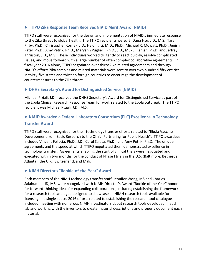#### **TTIPO Zika Response Team Receives NIAID Merit Award (NIAID)**

TTIPO staff were recognized for the design and implementation of NIAID's immediate response to the Zika threat to global health. The TTIPO recipients were: S. Dana Hsu, J.D., M.S., Tara Kirby, Ph.D., Christopher Kornak, J.D., Haiqing Li, M.D., Ph.D., Michael R. Mowatt, Ph.D., Jenish Patel, Ph.D., Amy Petrik, Ph.D., Maryann Puglielli, Ph.D., J.D., Mukul Ranjan, Ph.D. and Jeffrey Thruston, J.D., M.S. These individuals worked diligently to react quickly, resolve complicated issues, and move forward with a large number of often complex collaborative agreements. In fiscal year 2016 alone, TTIPO negotiated over thirty Zika related agreements and through NIAID's efforts Zika samples and related materials were sent to over two hundred fifty entities in thirty-five states and thirteen foreign countries to encourage the development of countermeasures to the Zika threat.

#### **DHHS Secretary's Award for Distinguished Service (NIAID)**

Michael Piziali, J.D., received the DHHS Secretary's Award for Distinguished Service as part of the Ebola Clinical Research Response Team for work related to the Ebola outbreak. The TTIPO recipient was Michael Piziali, J.D., M.S.

## ▶ NIAID Awarded a Federal Laboratory Consortium (FLC) Excellence in Technology **Transfer Award**

TTIPO staff were recognized for their technology transfer efforts related to "Ebola Vaccine Development from Basic Research to the Clinic: Partnering for Public Health". TTIPO awardees included Vincent Feliccia, Ph.D., J.D., Carol Salata, Ph.D., and Amy Petrik, Ph.D. The unique agreements and the speed at which TTIPO negotiated them demonstrated excellence in technology transfer. Agreements enabling the start of clinical trials were negotiated and executed within two months for the conduct of Phase I trials in the U.S. (Baltimore, Bethesda, Atlanta), the U.K., Switzerland, and Mali.

#### **NIMH Director's "Rookie-of-the-Year" Award**

Both members of the NIMH technology transfer staff, Jennifer Wong, MS and Charles Salahuddin, JD, MS, were recognized with NIMH Director's Award "Rookie of the Year" honors for forward-thinking ideas for expanding collaborations, including establishing the framework for a research tool catalogue designed to showcase all NIMH research tools available for licensing in a single space. 2016 efforts related to establishing the research tool catalogue included meeting with numerous NIMH investigators about research tools developed in each lab and working with the inventors to create material descriptions and properly document each material.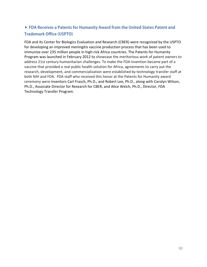# **FDA Receives a Patents for Humanity Award from the United States Patent and Trademark Office (USPTO)**

FDA and its Center for Biologics Evaluation and Research (CBER) were recognized by the USPTO for developing an improved meningitis vaccine production process that has been used to immunize over 235 million people in high-risk Africa countries. The Patents for Humanity Program was launched in February 2012 to showcase the meritorious work of patent owners to address 21st century humanitarian challenges. To make the FDA invention became part of a vaccine that provided a real public health solution for Africa, agreements to carry out the research, development, and commercialization were established by technology transfer staff at both NIH and FDA. FDA staff who received this honor at the Patents for Humanity award ceremony were inventors Carl Frasch, Ph.D., and Robert Lee, Ph.D., along with Carolyn Wilson, Ph.D., Associate Director for Research for CBER, and Alice Welch, Ph.D., Director, FDA Technology Transfer Program.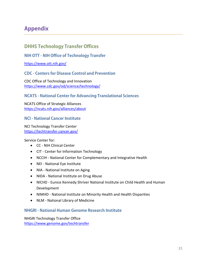# **Appendix**

# **DHHS Technology Transfer Offices**

#### **NIH OTT - NIH Office of Technology Transfer**

<https://www.ott.nih.gov/>

#### **CDC - Centers for Disease Control and Prevention**

CDC Office of Technology and Innovation <https://www.cdc.gov/od/science/technology/>

#### **NCATS - National Center for Advancing Translational Sciences**

NCATS Office of Strategic Alliances <https://ncats.nih.gov/alliances/about>

#### **NCI - National Cancer Institute**

#### NCI Technology Transfer Center <https://techtransfer.cancer.gov/>

Service Center for:

- CC NIH Clinical Center
- CIT Center for Information Technology
- NCCIH National Center for Complementary and Integrative Health
- NEI National Eye Institute
- NIA National Institute on Aging
- NIDA National Institute on Drug Abuse
- NICHD Eunice Kennedy Shriver National Institute on Child Health and Human Development
- NIMHD National Institute on Minority Health and Health Disparities
- NLM National Library of Medicine

#### **NHGRI - National Human Genome Research Institute**

NHGRI Technology Transfer Office <https://www.genome.gov/techtransfer>